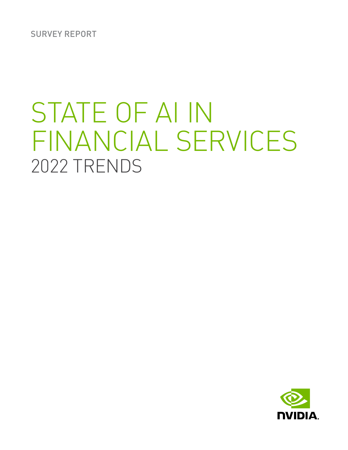SURVEY REPORT

# STATE OF AI IN FINANCIAL SERVICES 2022 TRENDS

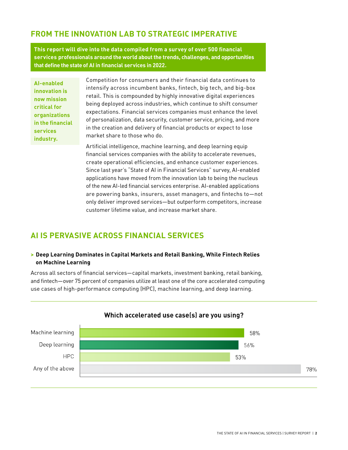# **FROM THE INNOVATION LAB TO STRATEGIC IMPERATIVE**

**This report will dive into the data compiled from a survey of over 500 financial services professionals around the world about the trends, challenges, and opportunities that define the state of AI in financial services in 2022.**

**AI-enabled innovation is now mission critical for organizations in the financial services industry.**

Competition for consumers and their financial data continues to intensify across incumbent banks, fintech, big tech, and big-box retail. This is compounded by highly innovative digital experiences being deployed across industries, which continue to shift consumer expectations. Financial services companies must enhance the level of personalization, data security, customer service, pricing, and more in the creation and delivery of financial products or expect to lose market share to those who do.

Artificial intelligence, machine learning, and deep learning equip financial services companies with the ability to accelerate revenues, create operational efficiencies, and enhance customer experiences. Since last year's "State of AI in Financial Services" survey, AI-enabled applications have moved from the innovation lab to being the nucleus of the new AI-led financial services enterprise. AI-enabled applications are powering banks, insurers, asset managers, and fintechs to—not only deliver improved services—but outperform competitors, increase customer lifetime value, and increase market share.

# **AI IS PERVASIVE ACROSS FINANCIAL SERVICES**

### **> Deep Learning Dominates in Capital Markets and Retail Banking, While Fintech Relies on Machine Learning**

Across all sectors of financial services—capital markets, investment banking, retail banking, and fintech—over 75 percent of companies utilize at least one of the core accelerated computing use cases of high-performance computing (HPC), machine learning, and deep learning.

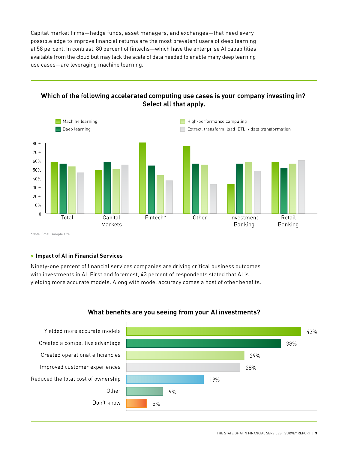Capital market firms—hedge funds, asset managers, and exchanges—that need every possible edge to improve financial returns are the most prevalent users of deep learning at 58 percent. In contrast, 80 percent of fintechs—which have the enterprise AI capabilities available from the cloud but may lack the scale of data needed to enable many deep learning use cases—are leveraging machine learning.

## Which of the following accelerated computing use cases is your company investing in? Select all that apply.



#### **> Impact of AI in Financial Services**

Ninety-one percent of financial services companies are driving critical business outcomes with investments in AI. First and foremost, 43 percent of respondents stated that AI is yielding more accurate models. Along with model accuracy comes a host of other benefits.



### What benefits are you seeing from your AI investments?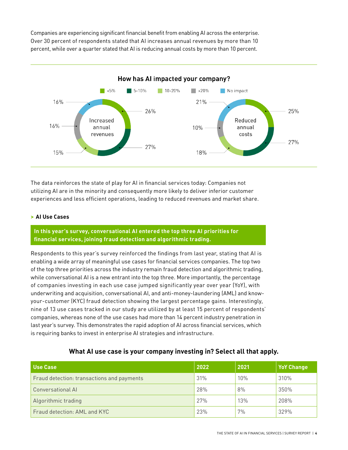Companies are experiencing significant financial benefit from enabling AI across the enterprise. Over 30 percent of respondents stated that AI increases annual revenues by more than 10 percent, while over a quarter stated that AI is reducing annual costs by more than 10 percent.



The data reinforces the state of play for AI in financial services today: Companies not utilizing AI are in the minority and consequently more likely to deliver inferior customer experiences and less efficient operations, leading to reduced revenues and market share.

#### **> AI Use Cases**

**In this year's survey, conversational AI entered the top three AI priorities for financial services, joining fraud detection and algorithmic trading.**

Respondents to this year's survey reinforced the findings from last year, stating that AI is enabling a wide array of meaningful use cases for financial services companies. The top two of the top three priorities across the industry remain fraud detection and algorithmic trading, while conversational AI is a new entrant into the top three. More importantly, the percentage of companies investing in each use case jumped significantly year over year (YoY), with underwriting and acquisition, conversational AI, and anti-money-laundering (AML) and knowyour-customer (KYC) fraud detection showing the largest percentage gains. Interestingly, nine of 13 use cases tracked in our study are utilized by at least 15 percent of respondents' companies, whereas none of the use cases had more than 14 percent industry penetration in last year's survey. This demonstrates the rapid adoption of AI across financial services, which is requiring banks to invest in enterprise AI strategies and infrastructure.

#### **What AI use case is your company investing in? Select all that apply.**

| Use Case                                   | 2022 | 2021 | <b>YoY Change</b> |
|--------------------------------------------|------|------|-------------------|
| Fraud detection: transactions and payments | 31%  | 10%  | 310%              |
| <b>Conversational AI</b>                   | 28%  | 8%   | 350%              |
| Algorithmic trading                        | 27%  | 13%  | 208%              |
| Fraud detection: AML and KYC               | 23%  | 7%   | 329%              |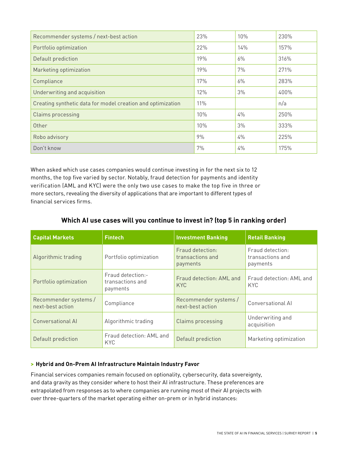| Recommender systems / next-best action                      | 23% | 10%   | 230% |
|-------------------------------------------------------------|-----|-------|------|
| Portfolio optimization                                      | 22% | 14%   | 157% |
| Default prediction                                          | 19% | 6%    | 316% |
| Marketing optimization                                      | 19% | 7%    | 271% |
| Compliance                                                  | 17% | $6\%$ | 283% |
| Underwriting and acquisition                                | 12% | 3%    | 400% |
| Creating synthetic data for model creation and optimization | 11% |       | n/a  |
| <b>Claims processing</b>                                    | 10% | $4\%$ | 250% |
| Other                                                       | 10% | 3%    | 333% |
| Robo advisory                                               | 9%  | $4\%$ | 225% |
| Don't know                                                  | 7%  | 4%    | 175% |

When asked which use cases companies would continue investing in for the next six to 12 months, the top five varied by sector. Notably, fraud detection for payments and identity verification (AML and KYC) were the only two use cases to make the top five in three or more sectors, revealing the diversity of applications that are important to different types of financial services firms.

| <b>Capital Markets</b>                    | <b>Fintech</b>                                    | <b>Investment Banking</b>                        | <b>Retail Banking</b>                            |
|-------------------------------------------|---------------------------------------------------|--------------------------------------------------|--------------------------------------------------|
| Algorithmic trading                       | Portfolio optimization                            | Fraud detection:<br>transactions and<br>payments | Fraud detection:<br>transactions and<br>payments |
| Portfolio optimization                    | Fraud detection:-<br>transactions and<br>payments | Fraud detection: AML and<br><b>KYC</b>           | Fraud detection: AML and<br><b>KYC</b>           |
| Recommender systems /<br>next-best action | Compliance                                        | Recommender systems /<br>next-best action        | Conversational Al                                |
| Conversational AI                         | Algorithmic trading                               | <b>Claims processing</b>                         | Underwriting and<br>acquisition                  |
| Default prediction                        | Fraud detection: AML and<br><b>KYC</b>            | Default prediction                               | Marketing optimization                           |

## **Which AI use cases will you continue to invest in? (top 5 in ranking order)**

### **> Hybrid and On-Prem AI Infrastructure Maintain Industry Favor**

Financial services companies remain focused on optionality, cybersecurity, data sovereignty, and data gravity as they consider where to host their AI infrastructure. These preferences are extrapolated from responses as to where companies are running most of their AI projects with over three-quarters of the market operating either on-prem or in hybrid instances: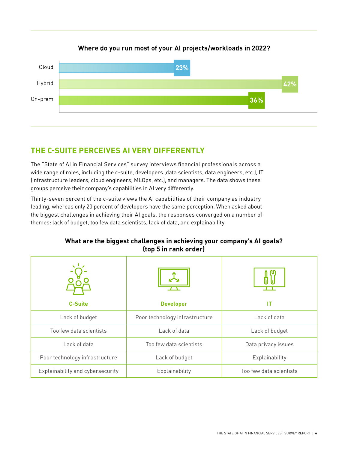## Where do you run most of your AI projects/workloads in 2022?



# **THE C-SUITE PERCEIVES AI VERY DIFFERENTLY**

The "State of AI in Financial Services" survey interviews financial professionals across a wide range of roles, including the c-suite, developers (data scientists, data engineers, etc.), IT (infrastructure leaders, cloud engineers, MLOps, etc.), and managers. The data shows these groups perceive their company's capabilities in AI very differently.

Thirty-seven percent of the c-suite views the AI capabilities of their company as industry leading, whereas only 20 percent of developers have the same perception. When asked about the biggest challenges in achieving their AI goals, the responses converged on a number of themes: lack of budget, too few data scientists, lack of data, and explainability.

| <b>C-Suite</b>                   | <b>Developer</b>               | IT                      |
|----------------------------------|--------------------------------|-------------------------|
| Lack of budget                   | Poor technology infrastructure | Lack of data            |
| Too few data scientists          | Lack of data                   | Lack of budget          |
| Lack of data                     | Too few data scientists        | Data privacy issues     |
| Poor technology infrastructure   | Lack of budget                 | Explainability          |
| Explainability and cybersecurity | Explainability                 | Too few data scientists |

## **What are the biggest challenges in achieving your company's AI goals? (top 5 in rank order)**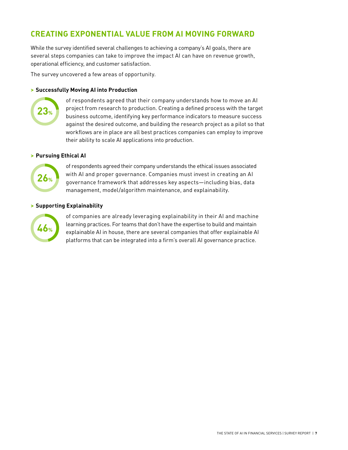# **CREATING EXPONENTIAL VALUE FROM AI MOVING FORWARD**

While the survey identified several challenges to achieving a company's AI goals, there are several steps companies can take to improve the impact AI can have on revenue growth, operational efficiency, and customer satisfaction.

The survey uncovered a few areas of opportunity.

#### **> Successfully Moving AI into Production**



of respondents agreed that their company understands how to move an AI project from research to production. Creating a defined process with the target business outcome, identifying key performance indicators to measure success against the desired outcome, and building the research project as a pilot so that workflows are in place are all best practices companies can employ to improve their ability to scale AI applications into production.

#### **> Pursuing Ethical AI**



of respondents agreed their company understands the ethical issues associated with AI and proper governance. Companies must invest in creating an AI governance framework that addresses key aspects—including bias, data management, model/algorithm maintenance, and explainability.

#### **> Supporting Explainability**



of companies are already leveraging explainability in their AI and machine learning practices. For teams that don't have the expertise to build and maintain explainable AI in house, there are several companies that offer explainable AI platforms that can be integrated into a firm's overall AI governance practice.